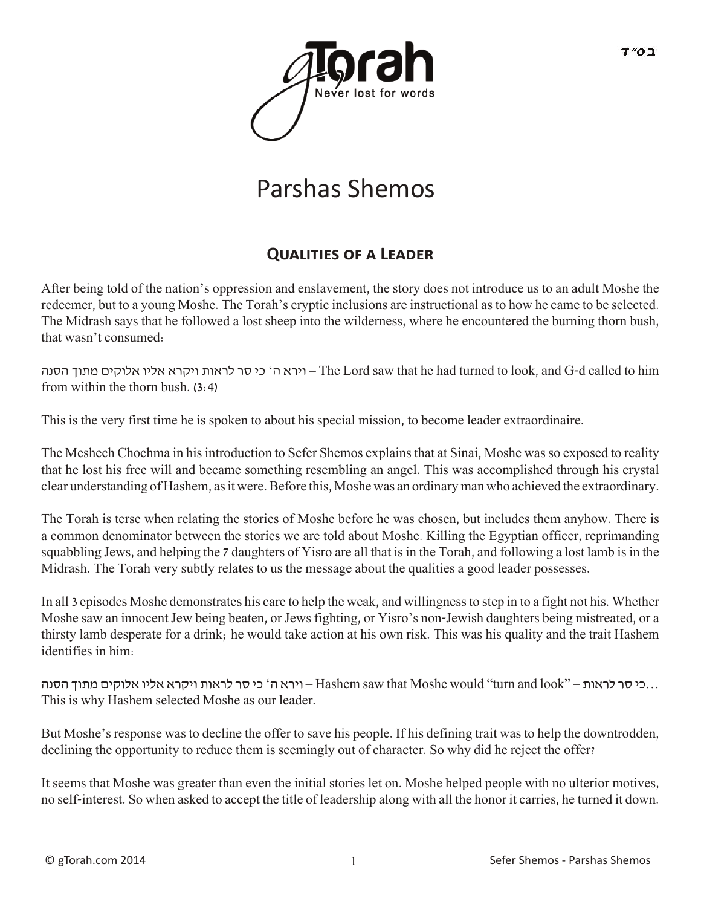

# Parshas Shemos

# **QUALITIES OF A LEADER**

After being told of the nation's oppression and enslavement, the story does not introduce us to an adult Moshe the redeemer, but to a young Moshe. The Torah's cryptic inclusions are instructional as to how he came to be selected. The Midrash says that he followed a lost sheep into the wilderness, where he encountered the burning thorn bush, that wasn't consumed:

הסנה מתוך אלוקים אליו ויקרא לראות סר כי' ה וירא – The Lord saw that he had turned to look, and G-d called to him from within the thorn bush. (3:4)

This is the very first time he is spoken to about his special mission, to become leader extraordinaire.

The Meshech Chochma in his introduction to Sefer Shemos explains that at Sinai, Moshe was so exposed to reality that he lost his free will and became something resembling an angel. This was accomplished through his crystal clear understanding of Hashem, as it were. Before this, Moshe was an ordinary man who achieved the extraordinary.

The Torah is terse when relating the stories of Moshe before he was chosen, but includes them anyhow. There is a common denominator between the stories we are told about Moshe. Killing the Egyptian officer, reprimanding squabbling Jews, and helping the 7 daughters of Yisro are all that is in the Torah, and following a lost lamb is in the Midrash. The Torah very subtly relates to us the message about the qualities a good leader possesses.

In all 3 episodes Moshe demonstrates his care to help the weak, and willingness to step in to a fight not his. Whether Moshe saw an innocent Jew being beaten, or Jews fighting, or Yisro's non-Jewish daughters being mistreated, or a thirsty lamb desperate for a drink; he would take action at his own risk. This was his quality and the trait Hashem identifies in him:

 ...כי סר לראות – "look and turn "would Moshe that saw Hashem – וירא ה' כי סר לראות ויקרא אליו אלוקים מתוך הסנה This is why Hashem selected Moshe as our leader.

But Moshe's response was to decline the offer to save his people. If his defining trait was to help the downtrodden, declining the opportunity to reduce them is seemingly out of character. So why did he reject the offer?

It seems that Moshe was greater than even the initial stories let on. Moshe helped people with no ulterior motives, no self-interest. So when asked to accept the title of leadership along with all the honor it carries, he turned it down.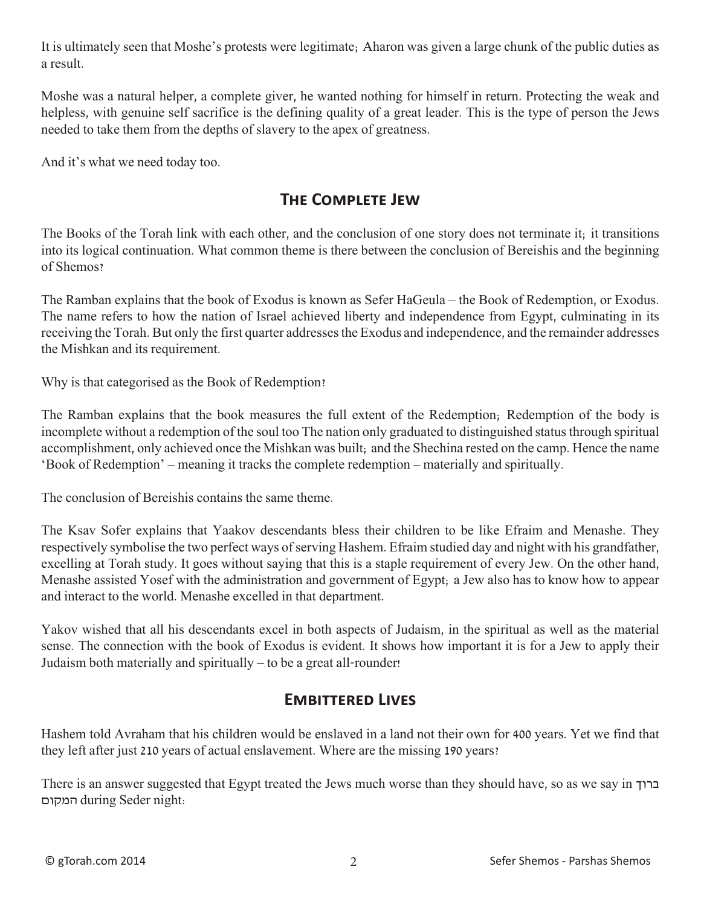It is ultimately seen that Moshe's protests were legitimate; Aharon was given a large chunk of the public duties as a result.

Moshe was a natural helper, a complete giver, he wanted nothing for himself in return. Protecting the weak and helpless, with genuine self sacrifice is the defining quality of a great leader. This is the type of person the Jews needed to take them from the depths of slavery to the apex of greatness.

And it's what we need today too.

# **The Complete Jew**

The Books of the Torah link with each other, and the conclusion of one story does not terminate it; it transitions into its logical continuation. What common theme is there between the conclusion of Bereishis and the beginning of Shemos?

The Ramban explains that the book of Exodus is known as Sefer HaGeula – the Book of Redemption, or Exodus. The name refers to how the nation of Israel achieved liberty and independence from Egypt, culminating in its receiving the Torah. But only the first quarter addresses the Exodus and independence, and the remainder addresses the Mishkan and its requirement.

Why is that categorised as the Book of Redemption?

The Ramban explains that the book measures the full extent of the Redemption; Redemption of the body is incomplete without a redemption of the soul too The nation only graduated to distinguished status through spiritual accomplishment, only achieved once the Mishkan was built; and the Shechina rested on the camp. Hence the name 'Book of Redemption' – meaning it tracks the complete redemption – materially and spiritually.

The conclusion of Bereishis contains the same theme.

The Ksav Sofer explains that Yaakov descendants bless their children to be like Efraim and Menashe. They respectively symbolise the two perfect ways of serving Hashem. Efraim studied day and night with his grandfather, excelling at Torah study. It goes without saying that this is a staple requirement of every Jew. On the other hand, Menashe assisted Yosef with the administration and government of Egypt; a Jew also has to know how to appear and interact to the world. Menashe excelled in that department.

Yakov wished that all his descendants excel in both aspects of Judaism, in the spiritual as well as the material sense. The connection with the book of Exodus is evident. It shows how important it is for a Jew to apply their Judaism both materially and spiritually – to be a great all-rounder!

#### **Embittered Lives**

Hashem told Avraham that his children would be enslaved in a land not their own for 400 years. Yet we find that they left after just 210 years of actual enslavement. Where are the missing 190 years?

There is an answer suggested that Egypt treated the Jews much worse than they should have, so as we say in ברוך המקום during Seder night: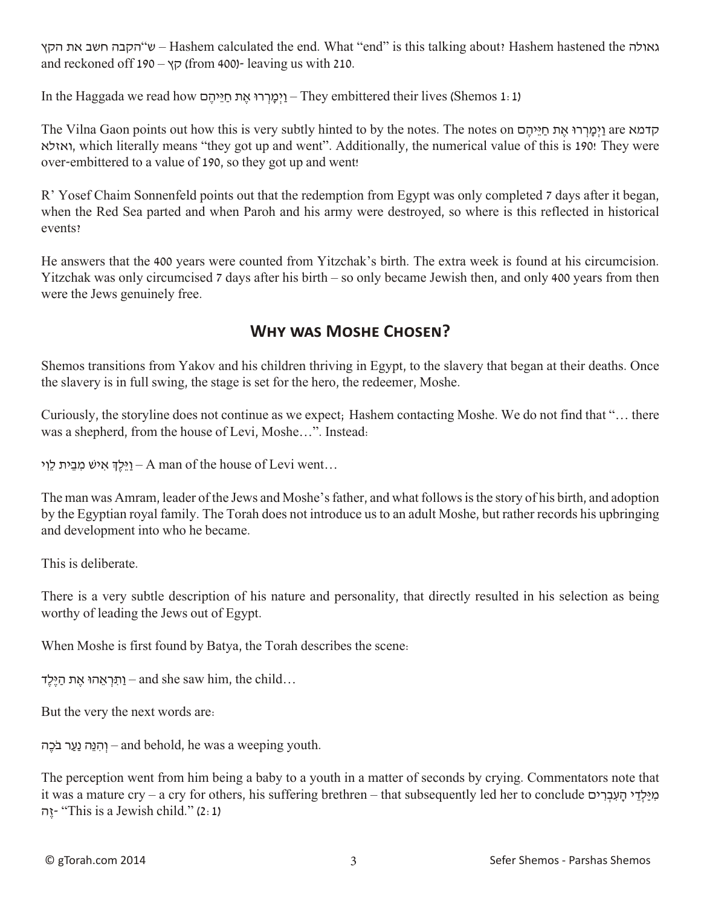הקץ את חשב הקבה"ש – Hashem calculated the end. What "end" is this talking about? Hashem hastened the גאולה and reckoned off 190 –  $\gamma \bar{\gamma}$  (from 400)- leaving us with 210.

In the Haggada we read how וימרו את חייהם – They embittered their lives (Shemos 1: 1)

The Vilna Gaon points out how this is very subtly hinted to by the notes. The notes on ם ֶיהֵּי ַח ת ֶא וּר ְר ָמְיַו are קדמא ואזלא, which literally means "they got up and went". Additionally, the numerical value of this is 190! They were over-embittered to a value of 190, so they got up and went!

R' Yosef Chaim Sonnenfeld points out that the redemption from Egypt was only completed 7 days after it began, when the Red Sea parted and when Paroh and his army were destroyed, so where is this reflected in historical events?

He answers that the 400 years were counted from Yitzchak's birth. The extra week is found at his circumcision. Yitzchak was only circumcised 7 days after his birth – so only became Jewish then, and only 400 years from then were the Jews genuinely free.

# **Why was Moshe Chosen?**

Shemos transitions from Yakov and his children thriving in Egypt, to the slavery that began at their deaths. Once the slavery is in full swing, the stage is set for the hero, the redeemer, Moshe.

Curiously, the storyline does not continue as we expect; Hashem contacting Moshe. We do not find that "… there was a shepherd, from the house of Levi, Moshe…". Instead:

יֵלֵךְ אִישׁ מִבֵית לֵוִי – A man of the house of Levi went...

The man was Amram, leader of the Jews and Moshe's father, and what follows is the story of his birth, and adoption by the Egyptian royal family. The Torah does not introduce us to an adult Moshe, but rather records his upbringing and development into who he became.

This is deliberate.

There is a very subtle description of his nature and personality, that directly resulted in his selection as being worthy of leading the Jews out of Egypt.

When Moshe is first found by Batya, the Torah describes the scene:

וַתְרְאֵהוּ אֶת הַיֶּלֶד – and she saw him, the child...

But the very the next words are:

יִהְנֵה נַעַר בֹּכֶה – and behold, he was a weeping youth.

The perception went from him being a baby to a youth in a matter of seconds by crying. Commentators note that it was a mature cry – a cry for others, his suffering brethren – that subsequently led her to conclude  $\alpha$ כאילדי העברים ה יוַה (2:1) This is a Jewish child." (2:1)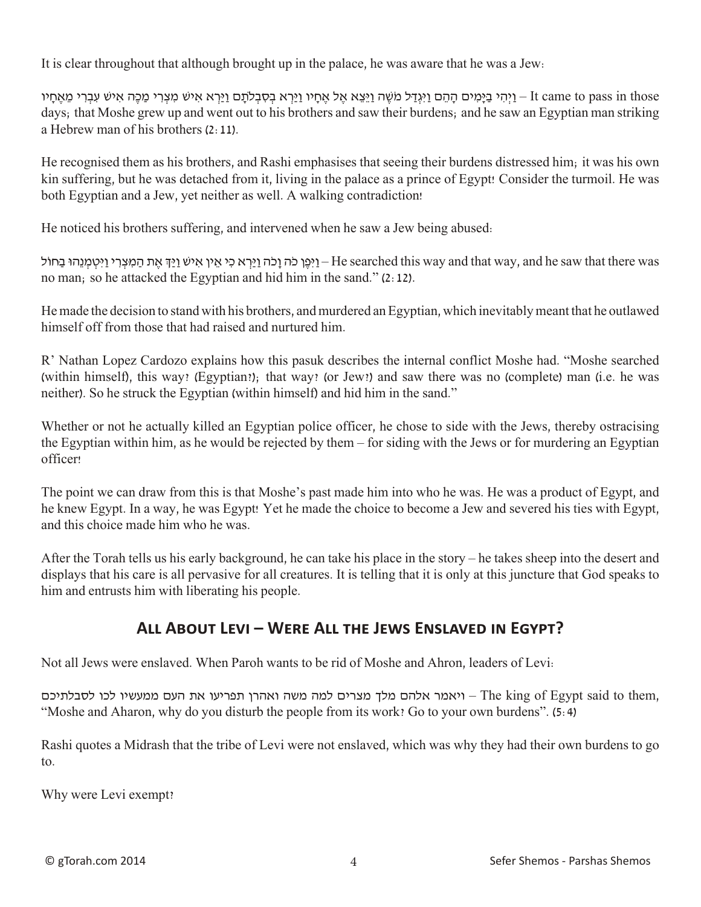It is clear throughout that although brought up in the palace, he was aware that he was a Jew:

tt came to pass in those – וַיְהִי בַּיַּמִים הַהֶם וַיִּגְדַל מֹשֶׁה וַיֵּצֵא אֶל אֲחֵיו וַיַּרְא בְרָע מַיִּא אֲיש עִבְרִי מַכֶּה אִיש עִבְרִי מַאֲחַיו days; that Moshe grew up and went out to his brothers and saw their burdens; and he saw an Egyptian man striking a Hebrew man of his brothers (2:11).

He recognised them as his brothers, and Rashi emphasises that seeing their burdens distressed him; it was his own kin suffering, but he was detached from it, living in the palace as a prince of Egypt! Consider the turmoil. He was both Egyptian and a Jew, yet neither as well. A walking contradiction!

He noticed his brothers suffering, and intervened when he saw a Jew being abused:

י וַיִּטְמְנֵהוּ בַּחוֹל – He searched this way and that way, and he saw that there was – וַיִּפֵן כֹּה וַכִּר $\mu$  בִ אֵת הַמִּצְרִי וַיִּטְמִנֵהוּ בַחוֹל no man; so he attacked the Egyptian and hid him in the sand." (2:12).

He made the decision to stand with his brothers, and murdered an Egyptian, which inevitably meant that he outlawed himself off from those that had raised and nurtured him.

R' Nathan Lopez Cardozo explains how this pasuk describes the internal conflict Moshe had. "Moshe searched (within himself), this way? (Egyptian?); that way? (or Jew?) and saw there was no (complete) man (i.e. he was neither). So he struck the Egyptian (within himself) and hid him in the sand."

Whether or not he actually killed an Egyptian police officer, he chose to side with the Jews, thereby ostracising the Egyptian within him, as he would be rejected by them – for siding with the Jews or for murdering an Egyptian officer!

The point we can draw from this is that Moshe's past made him into who he was. He was a product of Egypt, and he knew Egypt. In a way, he was Egypt! Yet he made the choice to become a Jew and severed his ties with Egypt, and this choice made him who he was.

After the Torah tells us his early background, he can take his place in the story – he takes sheep into the desert and displays that his care is all pervasive for all creatures. It is telling that it is only at this juncture that God speaks to him and entrusts him with liberating his people.

# **All About Levi – Were All the Jews Enslaved in Egypt?**

Not all Jews were enslaved. When Paroh wants to be rid of Moshe and Ahron, leaders of Levi:

היאמר אלהם מלך מצרים למה משה ואהרן תפריעו את העם ממעשיו לכו לסבלתיכם – The king of Egypt said to them, "Moshe and Aharon, why do you disturb the people from its work? Go to your own burdens". (5:4)

Rashi quotes a Midrash that the tribe of Levi were not enslaved, which was why they had their own burdens to go to.

Why were Levi exempt?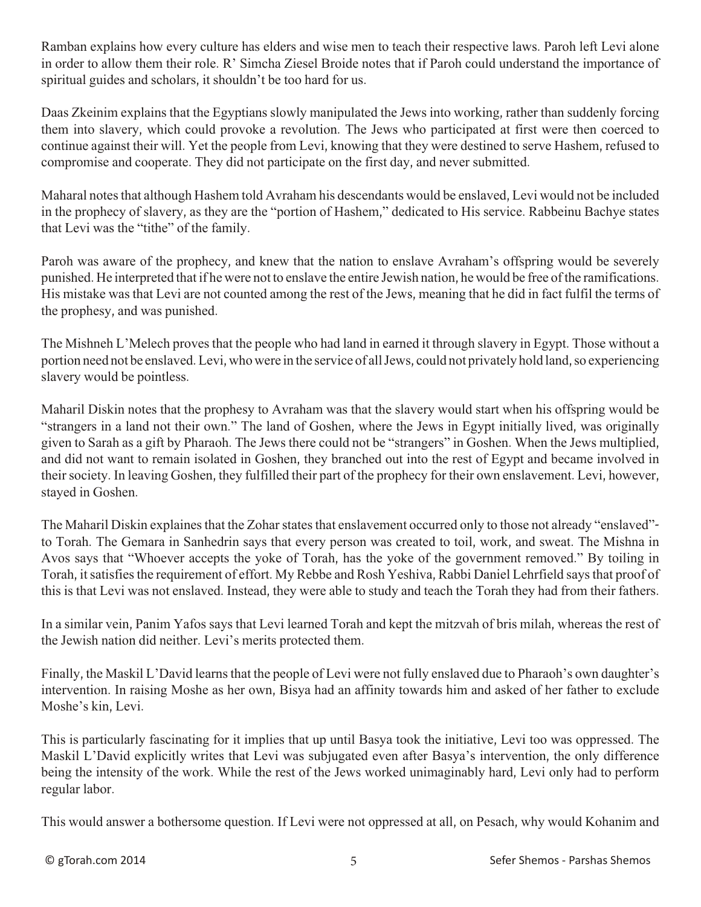Ramban explains how every culture has elders and wise men to teach their respective laws. Paroh left Levi alone in order to allow them their role. R' Simcha Ziesel Broide notes that if Paroh could understand the importance of spiritual guides and scholars, it shouldn't be too hard for us.

Daas Zkeinim explains that the Egyptians slowly manipulated the Jews into working, rather than suddenly forcing them into slavery, which could provoke a revolution. The Jews who participated at first were then coerced to continue against their will. Yet the people from Levi, knowing that they were destined to serve Hashem, refused to compromise and cooperate. They did not participate on the first day, and never submitted.

Maharal notes that although Hashem told Avraham his descendants would be enslaved, Levi would not be included in the prophecy of slavery, as they are the "portion of Hashem," dedicated to His service. Rabbeinu Bachye states that Levi was the "tithe" of the family.

Paroh was aware of the prophecy, and knew that the nation to enslave Avraham's offspring would be severely punished. He interpreted that if he were not to enslave the entire Jewish nation, he would be free of the ramifications. His mistake was that Levi are not counted among the rest of the Jews, meaning that he did in fact fulfil the terms of the prophesy, and was punished.

The Mishneh L'Melech proves that the people who had land in earned it through slavery in Egypt. Those without a portion need not be enslaved. Levi, who were in the service of all Jews, could not privately hold land, so experiencing slavery would be pointless.

Maharil Diskin notes that the prophesy to Avraham was that the slavery would start when his offspring would be "strangers in a land not their own." The land of Goshen, where the Jews in Egypt initially lived, was originally given to Sarah as a gift by Pharaoh. The Jews there could not be "strangers" in Goshen. When the Jews multiplied, and did not want to remain isolated in Goshen, they branched out into the rest of Egypt and became involved in their society. In leaving Goshen, they fulfilled their part of the prophecy for their own enslavement. Levi, however, stayed in Goshen.

The Maharil Diskin explaines that the Zohar states that enslavement occurred only to those not already "enslaved" to Torah. The Gemara in Sanhedrin says that every person was created to toil, work, and sweat. The Mishna in Avos says that "Whoever accepts the yoke of Torah, has the yoke of the government removed." By toiling in Torah, it satisfies the requirement of effort. My Rebbe and Rosh Yeshiva, Rabbi Daniel Lehrfield says that proof of this is that Levi was not enslaved. Instead, they were able to study and teach the Torah they had from their fathers.

In a similar vein, Panim Yafos says that Levi learned Torah and kept the mitzvah of bris milah, whereas the rest of the Jewish nation did neither. Levi's merits protected them.

Finally, the Maskil L'David learns that the people of Levi were not fully enslaved due to Pharaoh's own daughter's intervention. In raising Moshe as her own, Bisya had an affinity towards him and asked of her father to exclude Moshe's kin, Levi.

This is particularly fascinating for it implies that up until Basya took the initiative, Levi too was oppressed. The Maskil L'David explicitly writes that Levi was subjugated even after Basya's intervention, the only difference being the intensity of the work. While the rest of the Jews worked unimaginably hard, Levi only had to perform regular labor.

This would answer a bothersome question. If Levi were not oppressed at all, on Pesach, why would Kohanim and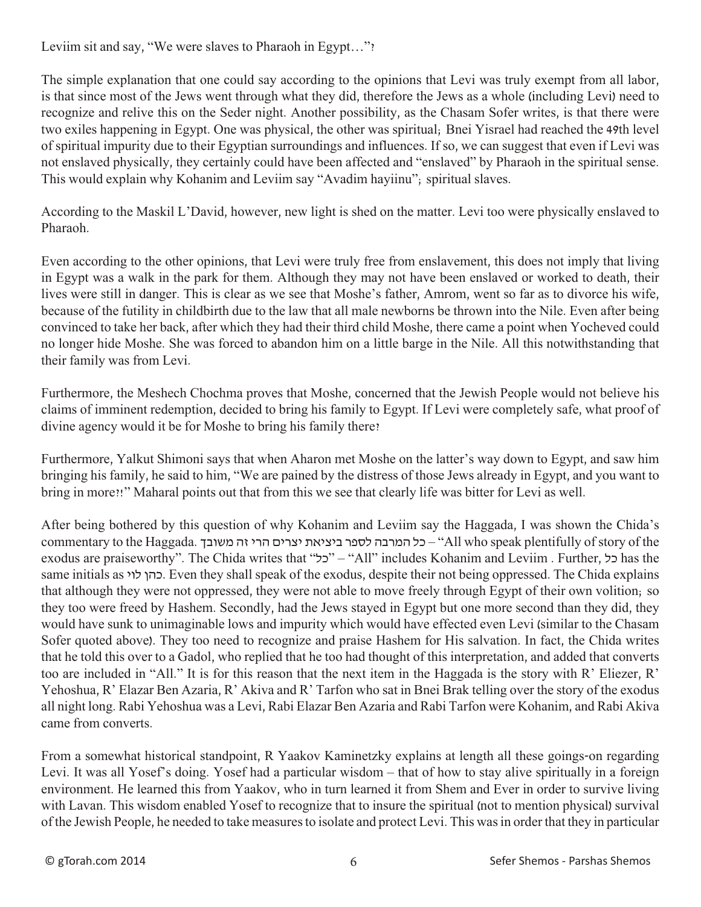Leviim sit and say, "We were slaves to Pharaoh in Egypt..."?

The simple explanation that one could say according to the opinions that Levi was truly exempt from all labor, is that since most of the Jews went through what they did, therefore the Jews as a whole (including Levi) need to recognize and relive this on the Seder night. Another possibility, as the Chasam Sofer writes, is that there were two exiles happening in Egypt. One was physical, the other was spiritual; Bnei Yisrael had reached the 49th level of spiritual impurity due to their Egyptian surroundings and influences. If so, we can suggest that even if Levi was not enslaved physically, they certainly could have been affected and "enslaved" by Pharaoh in the spiritual sense. This would explain why Kohanim and Leviim say "Avadim hayiinu"; spiritual slaves.

According to the Maskil L'David, however, new light is shed on the matter. Levi too were physically enslaved to Pharaoh.

Even according to the other opinions, that Levi were truly free from enslavement, this does not imply that living in Egypt was a walk in the park for them. Although they may not have been enslaved or worked to death, their lives were still in danger. This is clear as we see that Moshe's father, Amrom, went so far as to divorce his wife, because of the futility in childbirth due to the law that all male newborns be thrown into the Nile. Even after being convinced to take her back, after which they had their third child Moshe, there came a point when Yocheved could no longer hide Moshe. She was forced to abandon him on a little barge in the Nile. All this notwithstanding that their family was from Levi.

Furthermore, the Meshech Chochma proves that Moshe, concerned that the Jewish People would not believe his claims of imminent redemption, decided to bring his family to Egypt. If Levi were completely safe, what proof of divine agency would it be for Moshe to bring his family there?

Furthermore, Yalkut Shimoni says that when Aharon met Moshe on the latter's way down to Egypt, and saw him bringing his family, he said to him, "We are pained by the distress of those Jews already in Egypt, and you want to bring in more?!" Maharal points out that from this we see that clearly life was bitter for Levi as well.

After being bothered by this question of why Kohanim and Leviim say the Haggada, I was shown the Chida's commentary to the Haggada. משובך זה הרי יצרים ביציאת לספר המרבה כל" – All who speak plentifully of story of the exodus are praiseworthy". The Chida writes that "כל" – "All" includes Kohanim and Leviim . Further, כל has the same initials as לוי כהן. Even they shall speak of the exodus, despite their not being oppressed. The Chida explains that although they were not oppressed, they were not able to move freely through Egypt of their own volition; so they too were freed by Hashem. Secondly, had the Jews stayed in Egypt but one more second than they did, they would have sunk to unimaginable lows and impurity which would have effected even Levi (similar to the Chasam Sofer quoted above). They too need to recognize and praise Hashem for His salvation. In fact, the Chida writes that he told this over to a Gadol, who replied that he too had thought of this interpretation, and added that converts too are included in "All." It is for this reason that the next item in the Haggada is the story with R' Eliezer, R' Yehoshua, R' Elazar Ben Azaria, R' Akiva and R' Tarfon who sat in Bnei Brak telling over the story of the exodus all night long. Rabi Yehoshua was a Levi, Rabi Elazar Ben Azaria and Rabi Tarfon were Kohanim, and Rabi Akiva came from converts.

From a somewhat historical standpoint, R Yaakov Kaminetzky explains at length all these goings-on regarding Levi. It was all Yosef's doing. Yosef had a particular wisdom – that of how to stay alive spiritually in a foreign environment. He learned this from Yaakov, who in turn learned it from Shem and Ever in order to survive living with Lavan. This wisdom enabled Yosef to recognize that to insure the spiritual (not to mention physical) survival of the Jewish People, he needed to take measures to isolate and protect Levi. This was in order that they in particular